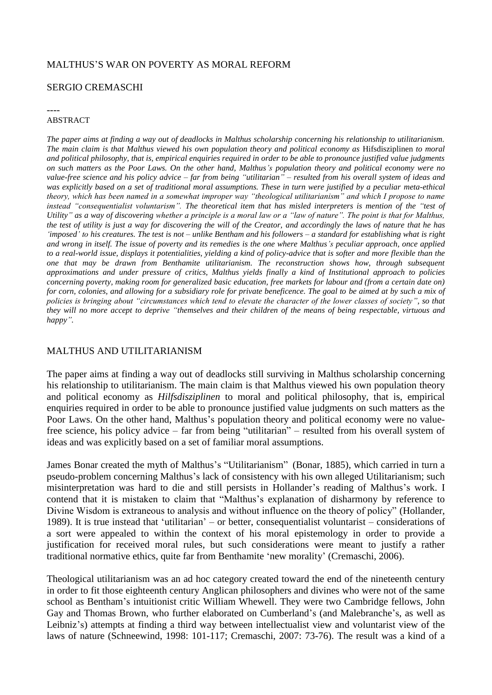## MALTHUS'S WAR ON POVERTY AS MORAL REFORM

## SERGIO CREMASCHI

#### ----

#### ABSTRACT

*The paper aims at finding a way out of deadlocks in Malthus scholarship concerning his relationship to utilitarianism. The main claim is that Malthus viewed his own population theory and political economy as* Hifsdisziplinen *to moral and political philosophy, that is, empirical enquiries required in order to be able to pronounce justified value judgments on such matters as the Poor Laws. On the other hand, Malthus's population theory and political economy were no value-free science and his policy advice – far from being "utilitarian" – resulted from his overall system of ideas and was explicitly based on a set of traditional moral assumptions. These in turn were justified by a peculiar meta-ethical theory, which has been named in a somewhat improper way "theological utilitarianism" and which I propose to name instead "consequentialist voluntarism". The theoretical item that has misled interpreters is mention of the "test of Utility" as a way of discovering whether a principle is a moral law or a "law of nature". The point is that for Malthus, the test of utility is just a way for discovering the will of the Creator, and accordingly the laws of nature that he has 'imposed' to his creatures. The test is not – unlike Bentham and his followers – a standard for establishing what is right and wrong in itself. The issue of poverty and its remedies is the one where Malthus's peculiar approach, once applied to a real-world issue, displays it potentialities, yielding a kind of policy-advice that is softer and more flexible than the one that may be drawn from Benthamite utilitarianism. The reconstruction shows how, through subsequent approximations and under pressure of critics, Malthus yields finally a kind of Institutional approach to policies concerning poverty, making room for generalized basic education, free markets for labour and (from a certain date on) for corn, colonies, and allowing for a subsidiary role for private beneficence. The goal to be aimed at by such a mix of policies is bringing about "circumstances which tend to elevate the character of the lower classes of society", so that they will no more accept to deprive "themselves and their children of the means of being respectable, virtuous and happy".* 

### MALTHUS AND UTILITARIANISM

The paper aims at finding a way out of deadlocks still surviving in Malthus scholarship concerning his relationship to utilitarianism. The main claim is that Malthus viewed his own population theory and political economy as *Hilfsdisziplinen* to moral and political philosophy, that is, empirical enquiries required in order to be able to pronounce justified value judgments on such matters as the Poor Laws. On the other hand, Malthus's population theory and political economy were no valuefree science, his policy advice – far from being "utilitarian" – resulted from his overall system of ideas and was explicitly based on a set of familiar moral assumptions.

James Bonar created the myth of Malthus's "Utilitarianism" (Bonar, 1885), which carried in turn a pseudo-problem concerning Malthus's lack of consistency with his own alleged Utilitarianism; such misinterpretation was hard to die and still persists in Hollander's reading of Malthus's work. I contend that it is mistaken to claim that "Malthus's explanation of disharmony by reference to Divine Wisdom is extraneous to analysis and without influence on the theory of policy" (Hollander, 1989). It is true instead that 'utilitarian' – or better, consequentialist voluntarist – considerations of a sort were appealed to within the context of his moral epistemology in order to provide a justification for received moral rules, but such considerations were meant to justify a rather traditional normative ethics, quite far from Benthamite 'new morality' (Cremaschi, 2006).

Theological utilitarianism was an ad hoc category created toward the end of the nineteenth century in order to fit those eighteenth century Anglican philosophers and divines who were not of the same school as Bentham's intuitionist critic William Whewell. They were two Cambridge fellows, John Gay and Thomas Brown, who further elaborated on Cumberland's (and Malebranche's, as well as Leibniz's) attempts at finding a third way between intellectualist view and voluntarist view of the laws of nature (Schneewind, 1998: 101-117; Cremaschi, 2007: 73-76). The result was a kind of a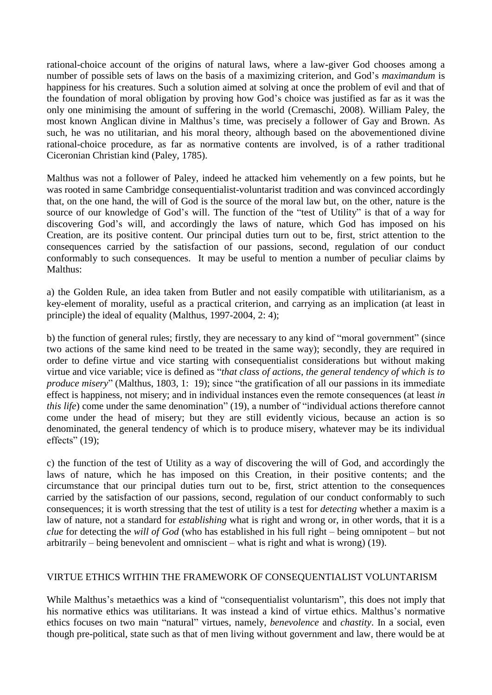rational-choice account of the origins of natural laws, where a law-giver God chooses among a number of possible sets of laws on the basis of a maximizing criterion, and God's *maximandum* is happiness for his creatures. Such a solution aimed at solving at once the problem of evil and that of the foundation of moral obligation by proving how God's choice was justified as far as it was the only one minimising the amount of suffering in the world (Cremaschi, 2008). William Paley, the most known Anglican divine in Malthus's time, was precisely a follower of Gay and Brown. As such, he was no utilitarian, and his moral theory, although based on the abovementioned divine rational-choice procedure, as far as normative contents are involved, is of a rather traditional Ciceronian Christian kind (Paley, 1785).

Malthus was not a follower of Paley, indeed he attacked him vehemently on a few points, but he was rooted in same Cambridge consequentialist-voluntarist tradition and was convinced accordingly that, on the one hand, the will of God is the source of the moral law but, on the other, nature is the source of our knowledge of God's will. The function of the "test of Utility" is that of a way for discovering God's will, and accordingly the laws of nature, which God has imposed on his Creation, are its positive content. Our principal duties turn out to be, first, strict attention to the consequences carried by the satisfaction of our passions, second, regulation of our conduct conformably to such consequences. It may be useful to mention a number of peculiar claims by Malthus:

a) the Golden Rule, an idea taken from Butler and not easily compatible with utilitarianism, as a key-element of morality, useful as a practical criterion, and carrying as an implication (at least in principle) the ideal of equality (Malthus, 1997-2004, 2: 4);

b) the function of general rules; firstly, they are necessary to any kind of "moral government" (since two actions of the same kind need to be treated in the same way); secondly, they are required in order to define virtue and vice starting with consequentialist considerations but without making virtue and vice variable; vice is defined as "*that class of actions, the general tendency of which is to produce misery*" (Malthus, 1803*,* 1: 19); since "the gratification of all our passions in its immediate effect is happiness, not misery; and in individual instances even the remote consequences (at least *in this life*) come under the same denomination" (19), a number of "individual actions therefore cannot come under the head of misery; but they are still evidently vicious, because an action is so denominated, the general tendency of which is to produce misery, whatever may be its individual effects"  $(19)$ ;

c) the function of the test of Utility as a way of discovering the will of God, and accordingly the laws of nature, which he has imposed on this Creation, in their positive contents; and the circumstance that our principal duties turn out to be, first, strict attention to the consequences carried by the satisfaction of our passions, second, regulation of our conduct conformably to such consequences; it is worth stressing that the test of utility is a test for *detecting* whether a maxim is a law of nature, not a standard for *establishing* what is right and wrong or, in other words, that it is a *clue* for detecting the *will of God* (who has established in his full right – being omnipotent – but not arbitrarily – being benevolent and omniscient – what is right and what is wrong) (19).

## VIRTUE ETHICS WITHIN THE FRAMEWORK OF CONSEQUENTIALIST VOLUNTARISM

While Malthus's metaethics was a kind of "consequentialist voluntarism", this does not imply that his normative ethics was utilitarians. It was instead a kind of virtue ethics. Malthus's normative ethics focuses on two main "natural" virtues, namely, *benevolence* and *chastity*. In a social, even though pre-political, state such as that of men living without government and law, there would be at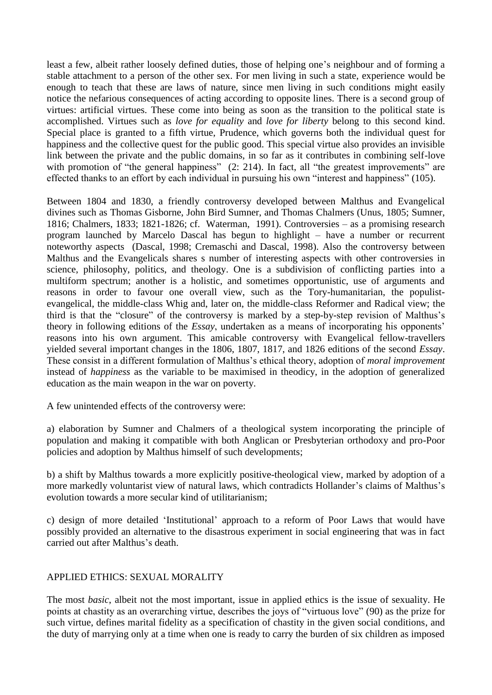least a few, albeit rather loosely defined duties, those of helping one's neighbour and of forming a stable attachment to a person of the other sex. For men living in such a state, experience would be enough to teach that these are laws of nature, since men living in such conditions might easily notice the nefarious consequences of acting according to opposite lines. There is a second group of virtues: artificial virtues. These come into being as soon as the transition to the political state is accomplished. Virtues such as *love for equality* and *love for liberty* belong to this second kind. Special place is granted to a fifth virtue, Prudence, which governs both the individual quest for happiness and the collective quest for the public good. This special virtue also provides an invisible link between the private and the public domains, in so far as it contributes in combining self-love with promotion of "the general happiness" (2: 214). In fact, all "the greatest improvements" are effected thanks to an effort by each individual in pursuing his own "interest and happiness" (105).

Between 1804 and 1830, a friendly controversy developed between Malthus and Evangelical divines such as Thomas Gisborne, John Bird Sumner, and Thomas Chalmers (Unus, 1805; Sumner, 1816; Chalmers, 1833; 1821-1826; cf. Waterman, 1991). Controversies – as a promising research program launched by Marcelo Dascal has begun to highlight – have a number or recurrent noteworthy aspects (Dascal, 1998; Cremaschi and Dascal, 1998). Also the controversy between Malthus and the Evangelicals shares s number of interesting aspects with other controversies in science, philosophy, politics, and theology. One is a subdivision of conflicting parties into a multiform spectrum; another is a holistic, and sometimes opportunistic, use of arguments and reasons in order to favour one overall view, such as the Tory-humanitarian, the populistevangelical, the middle-class Whig and, later on, the middle-class Reformer and Radical view; the third is that the "closure" of the controversy is marked by a step-by-step revision of Malthus's theory in following editions of the *Essay*, undertaken as a means of incorporating his opponents' reasons into his own argument. This amicable controversy with Evangelical fellow-travellers yielded several important changes in the 1806, 1807, 1817, and 1826 editions of the second *Essay*. These consist in a different formulation of Malthus's ethical theory, adoption of *moral improvement* instead of *happiness* as the variable to be maximised in theodicy, in the adoption of generalized education as the main weapon in the war on poverty.

A few unintended effects of the controversy were:

a) elaboration by Sumner and Chalmers of a theological system incorporating the principle of population and making it compatible with both Anglican or Presbyterian orthodoxy and pro-Poor policies and adoption by Malthus himself of such developments;

b) a shift by Malthus towards a more explicitly positive-theological view, marked by adoption of a more markedly voluntarist view of natural laws, which contradicts Hollander's claims of Malthus's evolution towards a more secular kind of utilitarianism;

c) design of more detailed 'Institutional' approach to a reform of Poor Laws that would have possibly provided an alternative to the disastrous experiment in social engineering that was in fact carried out after Malthus's death.

# APPLIED ETHICS: SEXUAL MORALITY

The most *basic*, albeit not the most important, issue in applied ethics is the issue of sexuality. He points at chastity as an overarching virtue, describes the joys of "virtuous love" (90) as the prize for such virtue, defines marital fidelity as a specification of chastity in the given social conditions, and the duty of marrying only at a time when one is ready to carry the burden of six children as imposed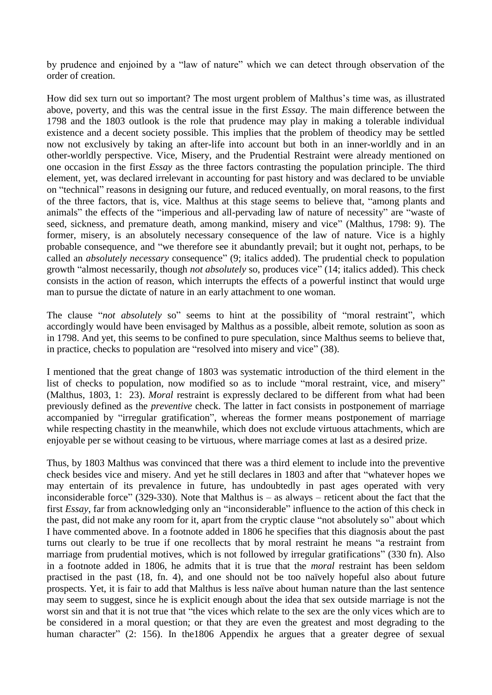by prudence and enjoined by a "law of nature" which we can detect through observation of the order of creation.

How did sex turn out so important? The most urgent problem of Malthus's time was, as illustrated above, poverty, and this was the central issue in the first *Essay*. The main difference between the 1798 and the 1803 outlook is the role that prudence may play in making a tolerable individual existence and a decent society possible. This implies that the problem of theodicy may be settled now not exclusively by taking an after-life into account but both in an inner-worldly and in an other-worldly perspective. Vice, Misery, and the Prudential Restraint were already mentioned on one occasion in the first *Essay* as the three factors contrasting the population principle. The third element, yet, was declared irrelevant in accounting for past history and was declared to be unviable on "technical" reasons in designing our future, and reduced eventually, on moral reasons, to the first of the three factors, that is, vice. Malthus at this stage seems to believe that, "among plants and animals" the effects of the "imperious and all-pervading law of nature of necessity" are "waste of seed, sickness, and premature death, among mankind, misery and vice" (Malthus, 1798: 9). The former, misery, is an absolutely necessary consequence of the law of nature. Vice is a highly probable consequence, and "we therefore see it abundantly prevail; but it ought not, perhaps, to be called an *absolutely necessary* consequence" (9; italics added). The prudential check to population growth "almost necessarily, though *not absolutely* so, produces vice" (14; italics added). This check consists in the action of reason, which interrupts the effects of a powerful instinct that would urge man to pursue the dictate of nature in an early attachment to one woman.

The clause "*not absolutely* so" seems to hint at the possibility of "moral restraint", which accordingly would have been envisaged by Malthus as a possible, albeit remote, solution as soon as in 1798. And yet, this seems to be confined to pure speculation, since Malthus seems to believe that, in practice, checks to population are "resolved into misery and vice" (38).

I mentioned that the great change of 1803 was systematic introduction of the third element in the list of checks to population, now modified so as to include "moral restraint, vice, and misery" (Malthus, 1803, 1: 23). *Moral* restraint is expressly declared to be different from what had been previously defined as the *preventive* check. The latter in fact consists in postponement of marriage accompanied by "irregular gratification", whereas the former means postponement of marriage while respecting chastity in the meanwhile, which does not exclude virtuous attachments, which are enjoyable per se without ceasing to be virtuous, where marriage comes at last as a desired prize.

Thus, by 1803 Malthus was convinced that there was a third element to include into the preventive check besides vice and misery. And yet he still declares in 1803 and after that "whatever hopes we may entertain of its prevalence in future, has undoubtedly in past ages operated with very inconsiderable force" (329-330). Note that Malthus is  $-$  as always  $-$  reticent about the fact that the first *Essay*, far from acknowledging only an "inconsiderable" influence to the action of this check in the past, did not make any room for it, apart from the cryptic clause "not absolutely so" about which I have commented above. In a footnote added in 1806 he specifies that this diagnosis about the past turns out clearly to be true if one recollects that by moral restraint he means "a restraint from marriage from prudential motives, which is not followed by irregular gratifications" (330 fn). Also in a footnote added in 1806, he admits that it is true that the *moral* restraint has been seldom practised in the past (18, fn. 4), and one should not be too naïvely hopeful also about future prospects. Yet, it is fair to add that Malthus is less naïve about human nature than the last sentence may seem to suggest, since he is explicit enough about the idea that sex outside marriage is not the worst sin and that it is not true that "the vices which relate to the sex are the only vices which are to be considered in a moral question; or that they are even the greatest and most degrading to the human character" (2: 156). In the 1806 Appendix he argues that a greater degree of sexual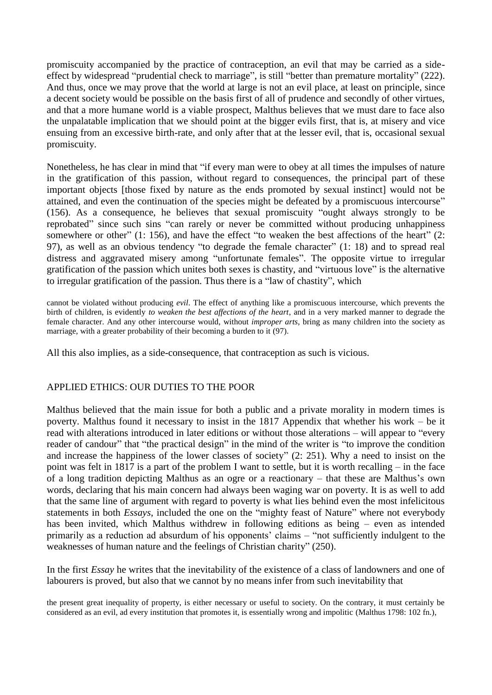promiscuity accompanied by the practice of contraception, an evil that may be carried as a sideeffect by widespread "prudential check to marriage", is still "better than premature mortality" (222). And thus, once we may prove that the world at large is not an evil place, at least on principle, since a decent society would be possible on the basis first of all of prudence and secondly of other virtues, and that a more humane world is a viable prospect, Malthus believes that we must dare to face also the unpalatable implication that we should point at the bigger evils first, that is, at misery and vice ensuing from an excessive birth-rate, and only after that at the lesser evil, that is, occasional sexual promiscuity.

Nonetheless, he has clear in mind that "if every man were to obey at all times the impulses of nature in the gratification of this passion, without regard to consequences, the principal part of these important objects [those fixed by nature as the ends promoted by sexual instinct] would not be attained, and even the continuation of the species might be defeated by a promiscuous intercourse" (156). As a consequence, he believes that sexual promiscuity "ought always strongly to be reprobated" since such sins "can rarely or never be committed without producing unhappiness somewhere or other" (1: 156), and have the effect "to weaken the best affections of the heart" (2: 97), as well as an obvious tendency "to degrade the female character" (1: 18) and to spread real distress and aggravated misery among "unfortunate females". The opposite virtue to irregular gratification of the passion which unites both sexes is chastity, and "virtuous love" is the alternative to irregular gratification of the passion. Thus there is a "law of chastity", which

cannot be violated without producing *evil*. The effect of anything like a promiscuous intercourse, which prevents the birth of children, is evidently *to weaken the best affections of the heart*, and in a very marked manner to degrade the female character. And any other intercourse would, without *improper arts*, bring as many children into the society as marriage, with a greater probability of their becoming a burden to it (97).

All this also implies, as a side-consequence, that contraception as such is vicious.

# APPLIED ETHICS: OUR DUTIES TO THE POOR

Malthus believed that the main issue for both a public and a private morality in modern times is poverty. Malthus found it necessary to insist in the 1817 Appendix that whether his work – be it read with alterations introduced in later editions or without those alterations – will appear to "every reader of candour" that "the practical design" in the mind of the writer is "to improve the condition and increase the happiness of the lower classes of society" (2: 251). Why a need to insist on the point was felt in 1817 is a part of the problem I want to settle, but it is worth recalling – in the face of a long tradition depicting Malthus as an ogre or a reactionary – that these are Malthus's own words, declaring that his main concern had always been waging war on poverty. It is as well to add that the same line of argument with regard to poverty is what lies behind even the most infelicitous statements in both *Essays*, included the one on the "mighty feast of Nature" where not everybody has been invited, which Malthus withdrew in following editions as being – even as intended primarily as a reduction ad absurdum of his opponents' claims – "not sufficiently indulgent to the weaknesses of human nature and the feelings of Christian charity" (250).

In the first *Essay* he writes that the inevitability of the existence of a class of landowners and one of labourers is proved, but also that we cannot by no means infer from such inevitability that

the present great inequality of property, is either necessary or useful to society. On the contrary, it must certainly be considered as an evil, ad every institution that promotes it, is essentially wrong and impolitic (Malthus 1798: 102 fn.),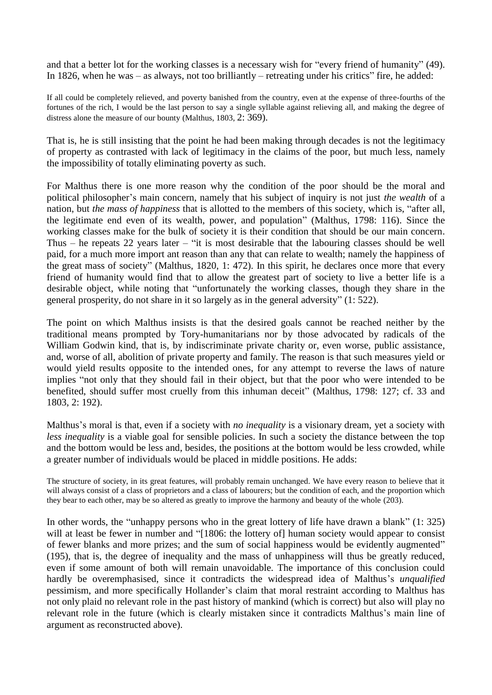and that a better lot for the working classes is a necessary wish for "every friend of humanity" (49). In 1826, when he was – as always, not too brilliantly – retreating under his critics" fire, he added:

If all could be completely relieved, and poverty banished from the country, even at the expense of three-fourths of the fortunes of the rich, I would be the last person to say a single syllable against relieving all, and making the degree of distress alone the measure of our bounty (Malthus, 1803, 2: 369).

That is, he is still insisting that the point he had been making through decades is not the legitimacy of property as contrasted with lack of legitimacy in the claims of the poor, but much less, namely the impossibility of totally eliminating poverty as such.

For Malthus there is one more reason why the condition of the poor should be the moral and political philosopher's main concern, namely that his subject of inquiry is not just *the wealth* of a nation, but *the mass of happiness* that is allotted to the members of this society, which is, "after all, the legitimate end even of its wealth, power, and population" (Malthus, 1798: 116). Since the working classes make for the bulk of society it is their condition that should be our main concern. Thus – he repeats 22 years later – "it is most desirable that the labouring classes should be well paid, for a much more import ant reason than any that can relate to wealth; namely the happiness of the great mass of society" (Malthus, 1820, 1: 472). In this spirit, he declares once more that every friend of humanity would find that to allow the greatest part of society to live a better life is a desirable object, while noting that "unfortunately the working classes, though they share in the general prosperity, do not share in it so largely as in the general adversity" (1: 522).

The point on which Malthus insists is that the desired goals cannot be reached neither by the traditional means prompted by Tory-humanitarians nor by those advocated by radicals of the William Godwin kind, that is, by indiscriminate private charity or, even worse, public assistance, and, worse of all, abolition of private property and family. The reason is that such measures yield or would yield results opposite to the intended ones, for any attempt to reverse the laws of nature implies "not only that they should fail in their object, but that the poor who were intended to be benefited, should suffer most cruelly from this inhuman deceit" (Malthus, 1798: 127; cf. 33 and 1803, 2: 192).

Malthus's moral is that, even if a society with *no inequality* is a visionary dream, yet a society with *less inequality* is a viable goal for sensible policies. In such a society the distance between the top and the bottom would be less and, besides, the positions at the bottom would be less crowded, while a greater number of individuals would be placed in middle positions. He adds:

The structure of society, in its great features, will probably remain unchanged. We have every reason to believe that it will always consist of a class of proprietors and a class of labourers; but the condition of each, and the proportion which they bear to each other, may be so altered as greatly to improve the harmony and beauty of the whole (203).

In other words, the "unhappy persons who in the great lottery of life have drawn a blank" (1: 325) will at least be fewer in number and "[1806: the lottery of] human society would appear to consist of fewer blanks and more prizes; and the sum of social happiness would be evidently augmented" (195), that is, the degree of inequality and the mass of unhappiness will thus be greatly reduced, even if some amount of both will remain unavoidable. The importance of this conclusion could hardly be overemphasised, since it contradicts the widespread idea of Malthus's *unqualified* pessimism, and more specifically Hollander's claim that moral restraint according to Malthus has not only plaid no relevant role in the past history of mankind (which is correct) but also will play no relevant role in the future (which is clearly mistaken since it contradicts Malthus's main line of argument as reconstructed above).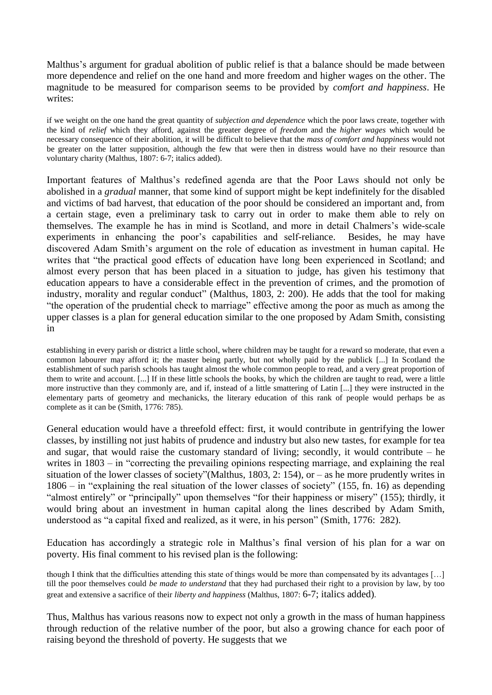Malthus's argument for gradual abolition of public relief is that a balance should be made between more dependence and relief on the one hand and more freedom and higher wages on the other. The magnitude to be measured for comparison seems to be provided by *comfort and happiness*. He writes:

if we weight on the one hand the great quantity of *subjection and dependence* which the poor laws create, together with the kind of *relief* which they afford, against the greater degree of *freedom* and the *higher wages* which would be necessary consequence of their abolition, it will be difficult to believe that the *mass of comfort and happiness* would not be greater on the latter supposition, although the few that were then in distress would have no their resource than voluntary charity (Malthus, 1807: 6-7; italics added).

Important features of Malthus's redefined agenda are that the Poor Laws should not only be abolished in a *gradual* manner, that some kind of support might be kept indefinitely for the disabled and victims of bad harvest, that education of the poor should be considered an important and, from a certain stage, even a preliminary task to carry out in order to make them able to rely on themselves. The example he has in mind is Scotland, and more in detail Chalmers's wide-scale experiments in enhancing the poor's capabilities and self-reliance. Besides, he may have discovered Adam Smith's argument on the role of education as investment in human capital. He writes that "the practical good effects of education have long been experienced in Scotland; and almost every person that has been placed in a situation to judge, has given his testimony that education appears to have a considerable effect in the prevention of crimes, and the promotion of industry, morality and regular conduct" (Malthus, 1803, 2: 200). He adds that the tool for making "the operation of the prudential check to marriage" effective among the poor as much as among the upper classes is a plan for general education similar to the one proposed by Adam Smith, consisting in

establishing in every parish or district a little school, where children may be taught for a reward so moderate, that even a common labourer may afford it; the master being partly, but not wholly paid by the publick [...] In Scotland the establishment of such parish schools has taught almost the whole common people to read, and a very great proportion of them to write and account. [...] If in these little schools the books, by which the children are taught to read, were a little more instructive than they commonly are, and if, instead of a little smattering of Latin [...] they were instructed in the elementary parts of geometry and mechanicks, the literary education of this rank of people would perhaps be as complete as it can be (Smith, 1776: 785).

General education would have a threefold effect: first, it would contribute in gentrifying the lower classes, by instilling not just habits of prudence and industry but also new tastes, for example for tea and sugar, that would raise the customary standard of living; secondly, it would contribute  $-$  he writes in  $1803 -$  in "correcting the prevailing opinions respecting marriage, and explaining the real situation of the lower classes of society"(Malthus, 1803, 2: 154), or – as he more prudently writes in 1806 – in "explaining the real situation of the lower classes of society" (155, fn. 16) as depending "almost entirely" or "principally" upon themselves "for their happiness or misery" (155); thirdly, it would bring about an investment in human capital along the lines described by Adam Smith, understood as "a capital fixed and realized, as it were, in his person" (Smith, 1776: 282).

Education has accordingly a strategic role in Malthus's final version of his plan for a war on poverty. His final comment to his revised plan is the following:

though I think that the difficulties attending this state of things would be more than compensated by its advantages […] till the poor themselves could *be made to understand* that they had purchased their right to a provision by law, by too great and extensive a sacrifice of their *liberty and happiness* (Malthus, 1807: 6-7; italics added).

Thus, Malthus has various reasons now to expect not only a growth in the mass of human happiness through reduction of the relative number of the poor, but also a growing chance for each poor of raising beyond the threshold of poverty. He suggests that we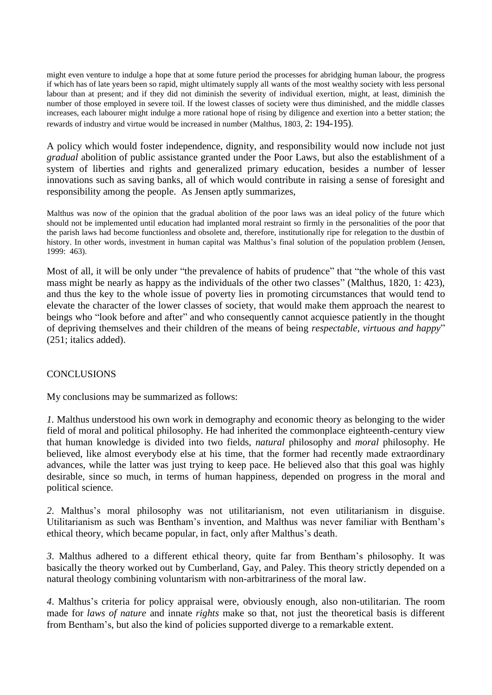might even venture to indulge a hope that at some future period the processes for abridging human labour, the progress if which has of late years been so rapid, might ultimately supply all wants of the most wealthy society with less personal labour than at present; and if they did not diminish the severity of individual exertion, might, at least, diminish the number of those employed in severe toil. If the lowest classes of society were thus diminished, and the middle classes increases, each labourer might indulge a more rational hope of rising by diligence and exertion into a better station; the rewards of industry and virtue would be increased in number (Malthus, 1803, 2: 194-195).

A policy which would foster independence, dignity, and responsibility would now include not just *gradual* abolition of public assistance granted under the Poor Laws, but also the establishment of a system of liberties and rights and generalized primary education, besides a number of lesser innovations such as saving banks, all of which would contribute in raising a sense of foresight and responsibility among the people. As Jensen aptly summarizes,

Malthus was now of the opinion that the gradual abolition of the poor laws was an ideal policy of the future which should not be implemented until education had implanted moral restraint so firmly in the personalities of the poor that the parish laws had become functionless and obsolete and, therefore, institutionally ripe for relegation to the dustbin of history. In other words, investment in human capital was Malthus's final solution of the population problem (Jensen, 1999: 463).

Most of all, it will be only under "the prevalence of habits of prudence" that "the whole of this vast mass might be nearly as happy as the individuals of the other two classes" (Malthus, 1820, 1: 423), and thus the key to the whole issue of poverty lies in promoting circumstances that would tend to elevate the character of the lower classes of society, that would make them approach the nearest to beings who "look before and after" and who consequently cannot acquiesce patiently in the thought of depriving themselves and their children of the means of being *respectable, virtuous and happy*" (251; italics added).

# **CONCLUSIONS**

My conclusions may be summarized as follows:

*1.* Malthus understood his own work in demography and economic theory as belonging to the wider field of moral and political philosophy. He had inherited the commonplace eighteenth-century view that human knowledge is divided into two fields, *natural* philosophy and *moral* philosophy. He believed, like almost everybody else at his time, that the former had recently made extraordinary advances, while the latter was just trying to keep pace. He believed also that this goal was highly desirable, since so much, in terms of human happiness, depended on progress in the moral and political science.

*2*. Malthus's moral philosophy was not utilitarianism, not even utilitarianism in disguise. Utilitarianism as such was Bentham's invention, and Malthus was never familiar with Bentham's ethical theory, which became popular, in fact, only after Malthus's death.

*3*. Malthus adhered to a different ethical theory, quite far from Bentham's philosophy. It was basically the theory worked out by Cumberland, Gay, and Paley. This theory strictly depended on a natural theology combining voluntarism with non-arbitrariness of the moral law.

*4*. Malthus's criteria for policy appraisal were, obviously enough, also non-utilitarian. The room made for *laws of nature* and innate *rights* make so that, not just the theoretical basis is different from Bentham's, but also the kind of policies supported diverge to a remarkable extent.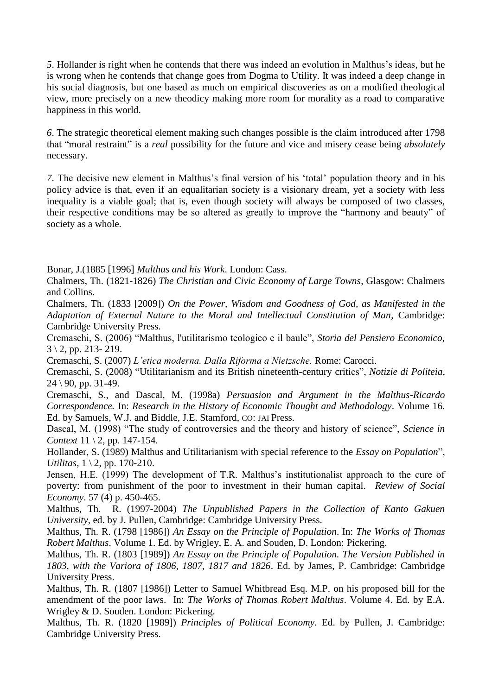*5*. Hollander is right when he contends that there was indeed an evolution in Malthus's ideas, but he is wrong when he contends that change goes from Dogma to Utility. It was indeed a deep change in his social diagnosis, but one based as much on empirical discoveries as on a modified theological view, more precisely on a new theodicy making more room for morality as a road to comparative happiness in this world.

*6*. The strategic theoretical element making such changes possible is the claim introduced after 1798 that "moral restraint" is a *real* possibility for the future and vice and misery cease being *absolutely* necessary.

*7*. The decisive new element in Malthus's final version of his 'total' population theory and in his policy advice is that, even if an equalitarian society is a visionary dream, yet a society with less inequality is a viable goal; that is, even though society will always be composed of two classes, their respective conditions may be so altered as greatly to improve the "harmony and beauty" of society as a whole.

Bonar, J.(1885 [1996] *Malthus and his Work*. London: Cass.

Chalmers, Th. (1821-1826) *The Christian and Civic Economy of Large Towns*, Glasgow: Chalmers and Collins.

Chalmers, Th. (1833 [2009]) *On the Power, Wisdom and Goodness of God, as Manifested in the Adaptation of External Nature to the Moral and Intellectual Constitution of Man*, Cambridge: Cambridge University Press.

Cremaschi, S. (2006) "Malthus, l'utilitarismo teologico e il baule", *Storia del Pensiero Economico*,  $3 \setminus 2$ , pp. 213- 219.

Cremaschi, S. (2007) *L'etica moderna. Dalla Riforma a Nietzsche.* Rome: Carocci.

Cremaschi, S. (2008) "Utilitarianism and its British nineteenth-century critics", *Notizie di Politeia*,  $24 \mid 90$ , pp. 31-49.

Cremaschi, S., and Dascal, M. (1998a) *Persuasion and Argument in the Malthus-Ricardo Correspondence.* In: *Research in the History of Economic Thought and Methodology*. Volume 16. Ed. by Samuels, W.J. and Biddle, J.E. Stamford, CO: JAI Press.

Dascal, M. (1998) "The study of controversies and the theory and history of science", *Science in Context* 11 \ 2, pp. 147-154.

Hollander, S. (1989) Malthus and Utilitarianism with special reference to the *Essay on Population*", *Utilitas*, 1 \ 2, pp. 170-210.

Jensen, H.E. (1999) The development of T.R. Malthus's institutionalist approach to the cure of poverty: from punishment of the poor to investment in their human capital. *Review of Social Economy*. 57 (4) p. 450-465.

Malthus, Th. R. (1997-2004) *The Unpublished Papers in the Collection of Kanto Gakuen University*, ed. by J. Pullen, Cambridge: Cambridge University Press.

Malthus, Th. R. (1798 [1986]) *An Essay on the Principle of Population*. In: *The Works of Thomas Robert Malthus*. Volume 1. Ed. by Wrigley, E. A. and Souden, D. London: Pickering.

Malthus, Th. R. (1803 [1989]) *An Essay on the Principle of Population. The Version Published in 1803, with the Variora of 1806, 1807, 1817 and 1826*. Ed. by James, P. Cambridge: Cambridge University Press.

Malthus, Th. R. (1807 [1986]) Letter to Samuel Whitbread Esq. M.P. on his proposed bill for the amendment of the poor laws. In: *The Works of Thomas Robert Malthus*. Volume 4. Ed. by E.A. Wrigley & D. Souden. London: Pickering.

Malthus, Th. R. (1820 [1989]) *Principles of Political Economy.* Ed. by Pullen, J. Cambridge: Cambridge University Press.